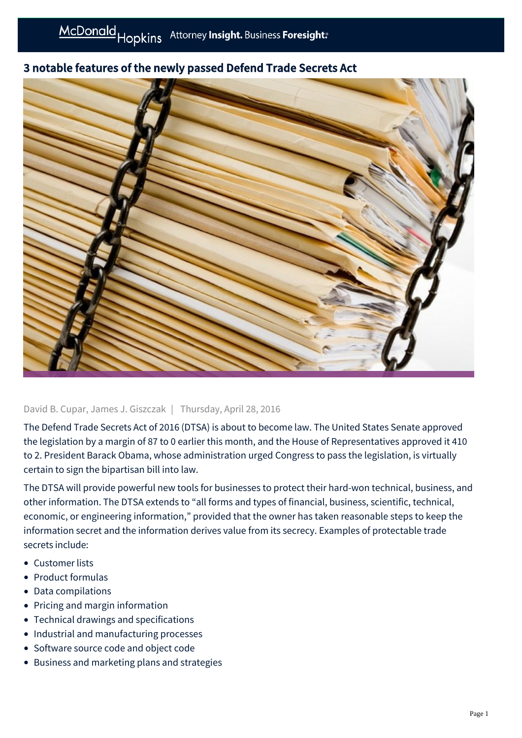# 3 notable features of the newly passed Defend Trade Secrets Act



# David B. Cupar, James J. Giszczak | Thursday, April 28, 2016

The Defend Trade Secrets Act of 2016 (DTSA) is about to become law. The United States Senate approved the legislation by a margin of 87 to 0 earlier this month, and the House of Representatives approved it 410 to 2. President Barack Obama, whose administration urged Congress to pass the legislation, is virtually certain to sign the bipartisan bill into law.

The DTSA will provide powerful new tools for businesses to protect their hard-won technical, business, and other information. The DTSA extends to "all forms and types of financial, business, scientific, technical, economic, or engineering information," provided that the owner has taken reasonable steps to keep the information secret and the information derives value from its secrecy. Examples of protectable trade secrets include:

- Customer lists
- Product formulas
- Data compilations
- Pricing and margin information
- Technical drawings and specifications
- Industrial and manufacturing processes
- Software source code and object code
- Business and marketing plans and strategies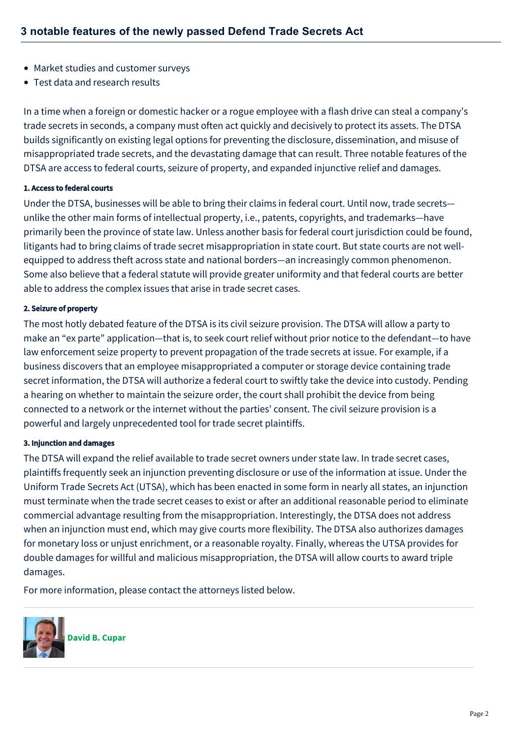- Market studies and customer surveys
- Test data and research results

In a time when a foreign or domestic hacker or a rogue employee with a flash drive can steal a company's trade secrets in seconds, a company must often act quickly and decisively to protect its assets. The DTSA builds significantly on existing legal options for preventing the disclosure, dissemination, and misuse of misappropriated trade secrets, and the devastating damage that can result. Three notable features of the DTSA are access to federal courts, seizure of property, and expanded injunctive relief and damages.

#### 1. Access to federal courts

Under the DTSA, businesses will be able to bring their claims in federal court. Until now, trade secrets unlike the other main forms of intellectual property, i.e., patents, copyrights, and trademarks—have primarily been the province of state law. Unless another basis for federal court jurisdiction could be found, litigants had to bring claims of trade secret misappropriation in state court. But state courts are not wellequipped to address theft across state and national borders—an increasingly common phenomenon. Some also believe that a federal statute will provide greater uniformity and that federal courts are better able to address the complex issues that arise in trade secret cases.

## 2. Seizure of property

The most hotly debated feature of the DTSA is its civil seizure provision. The DTSA will allow a party to make an "ex parte" application—that is, to seek court relief without prior notice to the defendant—to have law enforcement seize property to prevent propagation of the trade secrets at issue. For example, if a business discovers that an employee misappropriated a computer or storage device containing trade secret information, the DTSA will authorize a federal court to swiftly take the device into custody. Pending a hearing on whether to maintain the seizure order, the court shall prohibit the device from being connected to a network or the internet without the parties' consent. The civil seizure provision is a powerful and largely unprecedented tool for trade secret plaintiffs.

## 3. Injunction and damages

The DTSA will expand the relief available to trade secret owners under state law. In trade secret cases, plaintiffs frequently seek an injunction preventing disclosure or use of the information at issue. Under the Uniform Trade Secrets Act (UTSA), which has been enacted in some form in nearly all states, an injunction must terminate when the trade secret ceases to exist or after an additional reasonable period to eliminate commercial advantage resulting from the misappropriation. Interestingly, the DTSA does not address when an injunction must end, which may give courts more flexibility. The DTSA also authorizes damages for monetary loss or unjust enrichment, or a reasonable royalty. Finally, whereas the UTSA provides for double damages for willful and malicious misappropriation, the DTSA will allow courts to award triple damages.

For more information, please contact the attorneys listed below.



**[David B. Cupar](https://mcdonaldhopkins.com/Team/Attorney/d/David-Cupar)**